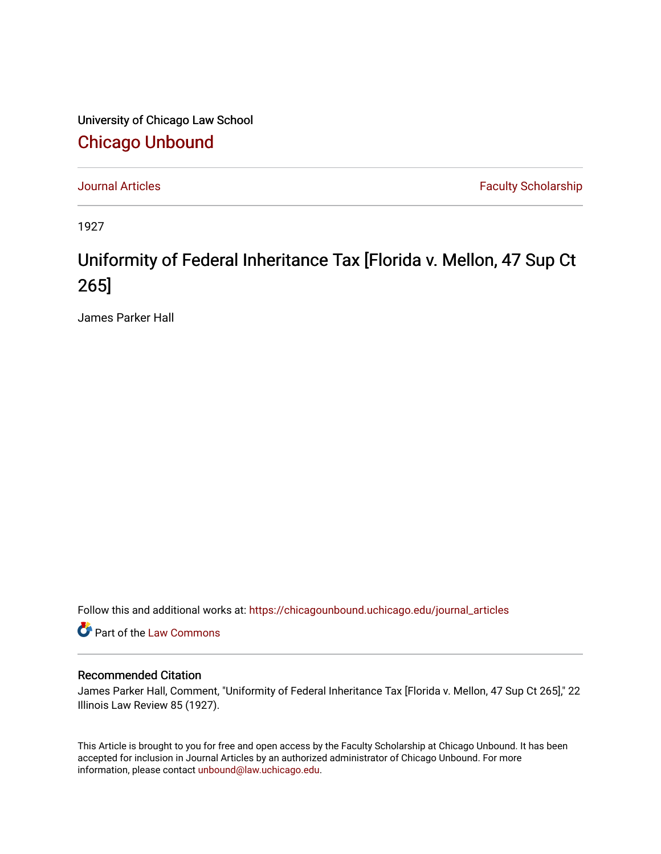University of Chicago Law School [Chicago Unbound](https://chicagounbound.uchicago.edu/)

[Journal Articles](https://chicagounbound.uchicago.edu/journal_articles) **Faculty Scholarship Faculty Scholarship** 

1927

## Uniformity of Federal Inheritance Tax [Florida v. Mellon, 47 Sup Ct 265]

James Parker Hall

Follow this and additional works at: [https://chicagounbound.uchicago.edu/journal\\_articles](https://chicagounbound.uchicago.edu/journal_articles?utm_source=chicagounbound.uchicago.edu%2Fjournal_articles%2F9574&utm_medium=PDF&utm_campaign=PDFCoverPages) 

Part of the [Law Commons](http://network.bepress.com/hgg/discipline/578?utm_source=chicagounbound.uchicago.edu%2Fjournal_articles%2F9574&utm_medium=PDF&utm_campaign=PDFCoverPages)

## Recommended Citation

James Parker Hall, Comment, "Uniformity of Federal Inheritance Tax [Florida v. Mellon, 47 Sup Ct 265]," 22 Illinois Law Review 85 (1927).

This Article is brought to you for free and open access by the Faculty Scholarship at Chicago Unbound. It has been accepted for inclusion in Journal Articles by an authorized administrator of Chicago Unbound. For more information, please contact [unbound@law.uchicago.edu](mailto:unbound@law.uchicago.edu).